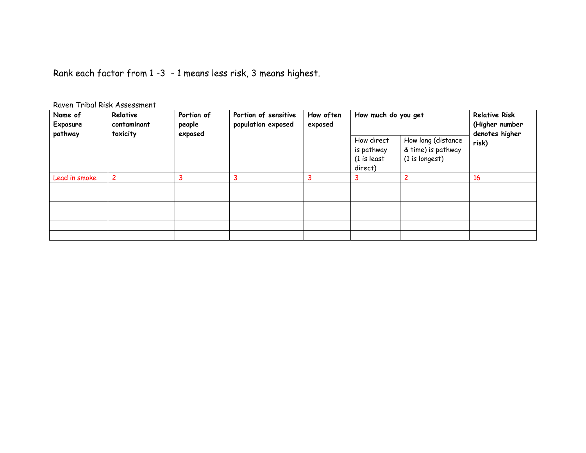Rank each factor from 1 -3 - 1 means less risk, 3 means highest.

|  |  |  | Raven Tribal Risk Assessment |
|--|--|--|------------------------------|
|--|--|--|------------------------------|

| Name of<br>Exposure<br>pathway | Relative<br>contaminant<br>toxicity | Portion of<br>Portion of sensitive<br>population exposed<br>people<br>exposed | How often<br>exposed | How much do you get |                                                       | <b>Relative Risk</b><br>(Higher number<br>denotes higher   |       |
|--------------------------------|-------------------------------------|-------------------------------------------------------------------------------|----------------------|---------------------|-------------------------------------------------------|------------------------------------------------------------|-------|
|                                |                                     |                                                                               |                      |                     | How direct<br>is pathway<br>$(1)$ is least<br>direct) | How long (distance<br>& time) is pathway<br>(1 is longest) | risk) |
| Lead in smoke                  | $\overline{c}$                      | 3                                                                             | 3                    |                     |                                                       |                                                            | 16    |
|                                |                                     |                                                                               |                      |                     |                                                       |                                                            |       |
|                                |                                     |                                                                               |                      |                     |                                                       |                                                            |       |
|                                |                                     |                                                                               |                      |                     |                                                       |                                                            |       |
|                                |                                     |                                                                               |                      |                     |                                                       |                                                            |       |
|                                |                                     |                                                                               |                      |                     |                                                       |                                                            |       |
|                                |                                     |                                                                               |                      |                     |                                                       |                                                            |       |